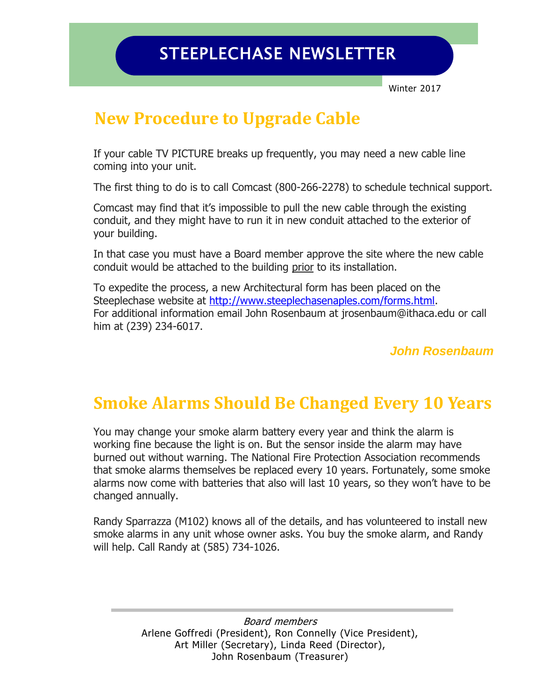Winter 2017

# **New Procedure to Upgrade Cable**

If your cable TV PICTURE breaks up frequently, you may need a new cable line coming into your unit.

The first thing to do is to call Comcast (800-266-2278) to schedule technical support.

Comcast may find that it's impossible to pull the new cable through the existing conduit, and they might have to run it in new conduit attached to the exterior of your building.

In that case you must have a Board member approve the site where the new cable conduit would be attached to the building prior to its installation.

To expedite the process, a new Architectural form has been placed on the Steeplechase website at [http://www.steeplechasenaples.com/forms.html.](http://www.steeplechasenaples.com/forms.html) For additional information email John Rosenbaum at [jrosenbaum@ithaca.edu](mailto:jrosenbaum@ithaca.edu) or call him at (239) 234-6017.

*John Rosenbaum*

# **Smoke Alarms Should Be Changed Every 10 Years**

You may change your smoke alarm battery every year and think the alarm is working fine because the light is on. But the sensor inside the alarm may have burned out without warning. The National Fire Protection Association recommends that smoke alarms themselves be replaced every 10 years. Fortunately, some smoke alarms now come with batteries that also will last 10 years, so they won't have to be changed annually.

Randy Sparrazza (M102) knows all of the details, and has volunteered to install new smoke alarms in any unit whose owner asks. You buy the smoke alarm, and Randy will help. Call Randy at (585) 734-1026.

> Board members Arlene Goffredi (President), Ron Connelly (Vice President), Art Miller (Secretary), Linda Reed (Director), John Rosenbaum (Treasurer)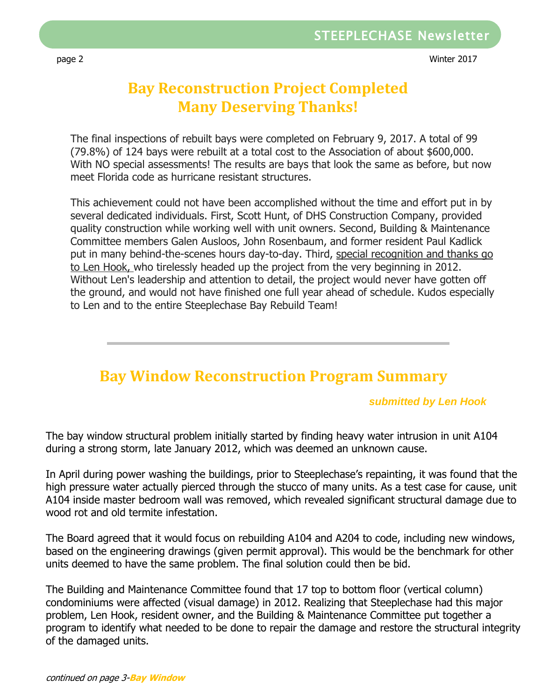page 2 Winter 2017

### **Bay Reconstruction Project Completed Many Deserving Thanks!**

The final inspections of rebuilt bays were completed on February 9, 2017. A total of 99 (79.8%) of 124 bays were rebuilt at a total cost to the Association of about \$600,000. With NO special assessments! The results are bays that look the same as before, but now meet Florida code as hurricane resistant structures.

This achievement could not have been accomplished without the time and effort put in by several dedicated individuals. First, Scott Hunt, of DHS Construction Company, provided quality construction while working well with unit owners. Second, Building & Maintenance Committee members Galen Ausloos, John Rosenbaum, and former resident Paul Kadlick put in many behind-the-scenes hours day-to-day. Third, special recognition and thanks go to Len Hook, who tirelessly headed up the project from the very beginning in 2012. Without Len's leadership and attention to detail, the project would never have gotten off the ground, and would not have finished one full year ahead of schedule. Kudos especially to Len and to the entire Steeplechase Bay Rebuild Team!

### **Bay Window Reconstruction Program Summary**

#### *submitted by Len Hook*

The bay window structural problem initially started by finding heavy water intrusion in unit A104 during a strong storm, late January 2012, which was deemed an unknown cause.

In April during power washing the buildings, prior to Steeplechase's repainting, it was found that the high pressure water actually pierced through the stucco of many units. As a test case for cause, unit A104 inside master bedroom wall was removed, which revealed significant structural damage due to wood rot and old termite infestation.

The Board agreed that it would focus on rebuilding A104 and A204 to code, including new windows, based on the engineering drawings (given permit approval). This would be the benchmark for other units deemed to have the same problem. The final solution could then be bid.

The Building and Maintenance Committee found that 17 top to bottom floor (vertical column) condominiums were affected (visual damage) in 2012. Realizing that Steeplechase had this major problem, Len Hook, resident owner, and the Building & Maintenance Committee put together a program to identify what needed to be done to repair the damage and restore the structural integrity of the damaged units.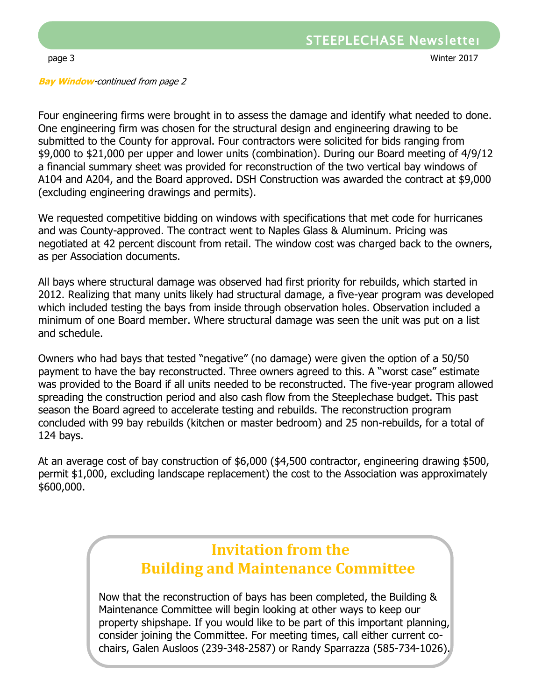**Bay Window**-continued from page 2

 One engineering firm was chosen for the structural design and engineering drawing to be Four engineering firms were brought in to assess the damage and identify what needed to done. submitted to the County for approval. Four contractors were solicited for bids ranging from \$9,000 to \$21,000 per upper and lower units (combination). During our Board meeting of 4/9/12 a financial summary sheet was provided for reconstruction of the two vertical bay windows of A104 and A204, and the Board approved. DSH Construction was awarded the contract at \$9,000 (excluding engineering drawings and permits).

We requested competitive bidding on windows with specifications that met code for hurricanes and was County-approved. The contract went to Naples Glass & Aluminum. Pricing was negotiated at 42 percent discount from retail. The window cost was charged back to the owners, as per Association documents.

All bays where structural damage was observed had first priority for rebuilds, which started in 2012. Realizing that many units likely had structural damage, a five-year program was developed which included testing the bays from inside through observation holes. Observation included a minimum of one Board member. Where structural damage was seen the unit was put on a list and schedule.

Owners who had bays that tested "negative" (no damage) were given the option of a 50/50 payment to have the bay reconstructed. Three owners agreed to this. A "worst case" estimate was provided to the Board if all units needed to be reconstructed. The five-year program allowed spreading the construction period and also cash flow from the Steeplechase budget. This past season the Board agreed to accelerate testing and rebuilds. The reconstruction program concluded with 99 bay rebuilds (kitchen or master bedroom) and 25 non-rebuilds, for a total of 124 bays.

At an average cost of bay construction of \$6,000 (\$4,500 contractor, engineering drawing \$500, permit \$1,000, excluding landscape replacement) the cost to the Association was approximately \$600,000.

### **Invitation from the Building and Maintenance Committee**

Now that the reconstruction of bays has been completed, the Building & Maintenance Committee will begin looking at other ways to keep our property shipshape. If you would like to be part of this important planning, consider joining the Committee. For meeting times, call either current cochairs, Galen Ausloos (239-348-2587) or Randy Sparrazza (585-734-1026).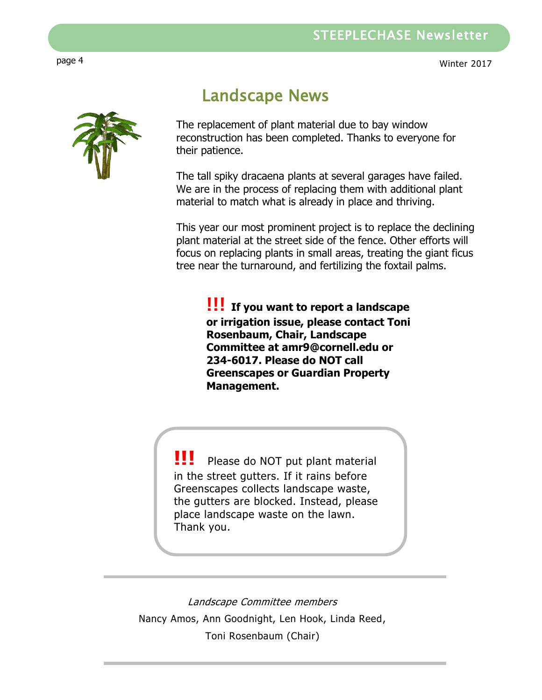

## Landscape News

The replacement of plant material due to bay window reconstruction has been completed. Thanks to everyone for their patience.

The tall spiky dracaena plants at several garages have failed. We are in the process of replacing them with additional plant material to match what is already in place and thriving.

This year our most prominent project is to replace the declining plant material at the street side of the fence. Other efforts will focus on replacing plants in small areas, treating the giant ficus tree near the turnaround, and fertilizing the foxtail palms.

**!!! If you want to report a landscape or irrigation issue, please contact Toni Rosenbaum, Chair, Landscape Committee at amr9@cornell.edu or 234-6017. Please do NOT call Greenscapes or Guardian Property Management.**

**!!!** Please do NOT put plant material in the street gutters. If it rains before Greenscapes collects landscape waste, the gutters are blocked. Instead, please place landscape waste on the lawn. Thank you.

Landscape Committee members Nancy Amos, Ann Goodnight, Len Hook, Linda Reed, Toni Rosenbaum (Chair)